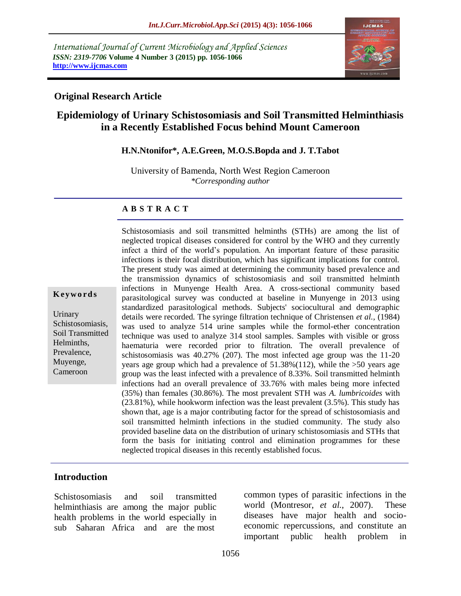*International Journal of Current Microbiology and Applied Sciences ISSN: 2319-7706* **Volume 4 Number 3 (2015) pp. 1056-1066 http://www.ijcmas.com** 



### **Original Research Article**

# **Epidemiology of Urinary Schistosomiasis and Soil Transmitted Helminthiasis in a Recently Established Focus behind Mount Cameroon**

### **H.N.Ntonifor\*, A.E.Green, M.O.S.Bopda and J. T.Tabot**

University of Bamenda, North West Region Cameroon *\*Corresponding author*

### **A B S T R A C T**

**K ey w o rd s**

Urinary Schistosomiasis, Soil Transmitted Helminths, Prevalence, Muyenge, Cameroon

Schistosomiasis and soil transmitted helminths (STHs) are among the list of neglected tropical diseases considered for control by the WHO and they currently infect a third of the world's population. An important feature of these parasitic infections is their focal distribution, which has significant implications for control. The present study was aimed at determining the community based prevalence and the transmission dynamics of schistosomiasis and soil transmitted helminth infections in Munyenge Health Area. A cross-sectional community based parasitological survey was conducted at baseline in Munyenge in 2013 using standardized parasitological methods. Subjects' sociocultural and demographic details were recorded. The syringe filtration technique of Christensen *et al.,* (1984) was used to analyze 514 urine samples while the formol-ether concentration technique was used to analyze 314 stool samples. Samples with visible or gross haematuria were recorded prior to filtration. The overall prevalence of schistosomiasis was 40.27% (207). The most infected age group was the 11-20 years age group which had a prevalence of  $51.38\%(112)$ , while the  $>50$  years age group was the least infected with a prevalence of 8.33%*.* Soil transmitted helminth infections had an overall prevalence of 33.76% with males being more infected (35%) than females (30.86%). The most prevalent STH was *A. lumbricoides* with (23.81%), while hookworm infection was the least prevalent (3.5%). This study has shown that, age is a major contributing factor for the spread of schistosomiasis and soil transmitted helminth infections in the studied community. The study also provided baseline data on the distribution of urinary schistosomiasis and STHs that form the basis for initiating control and elimination programmes for these neglected tropical diseases in this recently established focus.

### **Introduction**

Schistosomiasis and soil transmitted helminthiasis are among the major public health problems in the world especially in sub Saharan Africa and are the most

common types of parasitic infections in the world (Montresor, *et al*., 2007). These diseases have major health and socioeconomic repercussions, and constitute an important public health problem in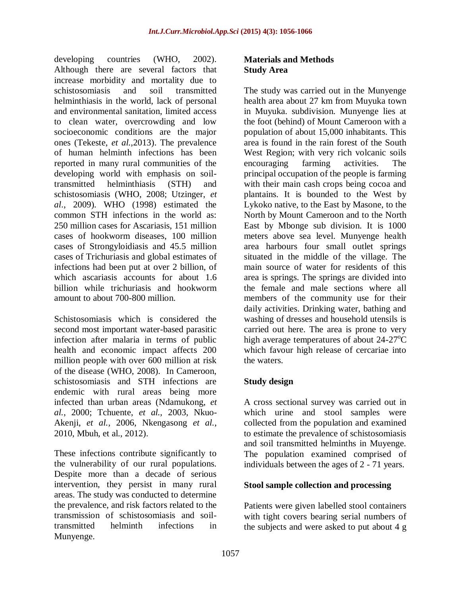developing countries (WHO, 2002). Although there are several factors that increase morbidity and mortality due to schistosomiasis and soil transmitted helminthiasis in the world, lack of personal and environmental sanitation, limited access to clean water, overcrowding and low socioeconomic conditions are the major ones (Tekeste, *et al.,*2013). The prevalence of human helminth infections has been reported in many rural communities of the developing world with emphasis on soiltransmitted helminthiasis (STH) and schistosomiasis (WHO, 2008; Utzinger, *et al*., 2009). WHO (1998) estimated the common STH infections in the world as: 250 million cases for Ascariasis, 151 million cases of hookworm diseases, 100 million cases of Strongyloidiasis and 45.5 million cases of Trichuriasis and global estimates of infections had been put at over 2 billion, of which ascariasis accounts for about 1.6 billion while trichuriasis and hookworm amount to about 700-800 million.

Schistosomiasis which is considered the second most important water-based parasitic infection after malaria in terms of public health and economic impact affects 200 million people with over 600 million at risk of the disease (WHO, 2008). In Cameroon, schistosomiasis and STH infections are endemic with rural areas being more infected than urban areas (Ndamukong, *et al.*, 2000; Tchuente, *et al.,* 2003, Nkuo-Akenji, *et al.,* 2006, Nkengasong *et al.*, 2010, Mbuh, et al., 2012).

These infections contribute significantly to the vulnerability of our rural populations. Despite more than a decade of serious intervention, they persist in many rural areas. The study was conducted to determine the prevalence, and risk factors related to the transmission of schistosomiasis and soiltransmitted helminth infections in Munyenge.

## **Materials and Methods Study Area**

The study was carried out in the Munyenge health area about 27 km from Muyuka town in Muyuka. subdivision. Munyenge lies at the foot (behind) of Mount Cameroon with a population of about 15,000 inhabitants. This area is found in the rain forest of the South West Region; with very rich volcanic soils encouraging farming activities. The principal occupation of the people is farming with their main cash crops being cocoa and plantains. It is bounded to the West by Lykoko native, to the East by Masone, to the North by Mount Cameroon and to the North East by Mbonge sub division. It is 1000 meters above sea level. Munyenge health area harbours four small outlet springs situated in the middle of the village. The main source of water for residents of this area is springs. The springs are divided into the female and male sections where all members of the community use for their daily activities. Drinking water, bathing and washing of dresses and household utensils is carried out here. The area is prone to very high average temperatures of about  $24-27^{\circ}C$ which favour high release of cercariae into the waters.

## **Study design**

A cross sectional survey was carried out in which urine and stool samples were collected from the population and examined to estimate the prevalence of schistosomiasis and soil transmitted helminths in Muyenge. The population examined comprised of individuals between the ages of 2 - 71 years.

## **Stool sample collection and processing**

Patients were given labelled stool containers with tight covers bearing serial numbers of the subjects and were asked to put about 4 g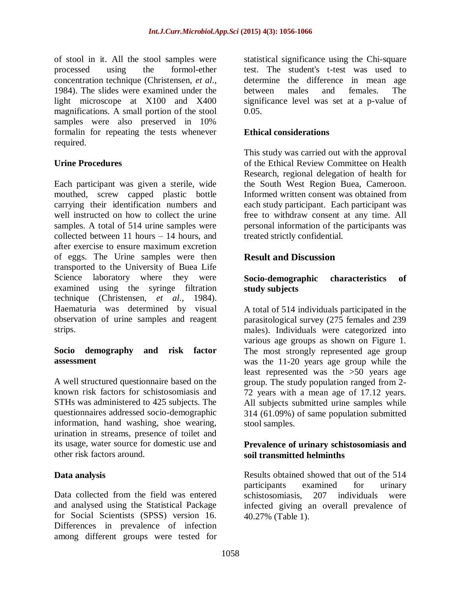of stool in it. All the stool samples were processed using the formol-ether concentration technique (Christensen, *et al*., 1984). The slides were examined under the light microscope at X100 and X400 magnifications. A small portion of the stool samples were also preserved in 10% formalin for repeating the tests whenever required.

### **Urine Procedures**

Each participant was given a sterile, wide mouthed, screw capped plastic bottle carrying their identification numbers and well instructed on how to collect the urine samples. A total of 514 urine samples were collected between 11 hours – 14 hours, and after exercise to ensure maximum excretion of eggs. The Urine samples were then transported to the University of Buea Life Science laboratory where they were examined using the syringe filtration technique (Christensen, *et al*., 1984). Haematuria was determined by visual observation of urine samples and reagent strips.

### **Socio demography and risk factor assessment**

A well structured questionnaire based on the known risk factors for schistosomiasis and STHs was administered to 425 subjects. The questionnaires addressed socio-demographic information, hand washing, shoe wearing, urination in streams, presence of toilet and its usage, water source for domestic use and other risk factors around.

#### **Data analysis**

Data collected from the field was entered and analysed using the Statistical Package for Social Scientists (SPSS) version 16. Differences in prevalence of infection among different groups were tested for

statistical significance using the Chi-square test. The student's t-test was used to determine the difference in mean age between males and females. The significance level was set at a p-value of 0.05.

#### **Ethical considerations**

This study was carried out with the approval of the Ethical Review Committee on Health Research, regional delegation of health for the South West Region Buea, Cameroon. Informed written consent was obtained from each study participant. Each participant was free to withdraw consent at any time. All personal information of the participants was treated strictly confidential.

### **Result and Discussion**

### **Socio-demographic characteristics of study subjects**

A total of 514 individuals participated in the parasitological survey (275 females and 239 males). Individuals were categorized into various age groups as shown on Figure 1. The most strongly represented age group was the 11-20 years age group while the least represented was the >50 years age group. The study population ranged from 2- 72 years with a mean age of 17.12 years. All subjects submitted urine samples while 314 (61.09%) of same population submitted stool samples.

### **Prevalence of urinary schistosomiasis and soil transmitted helminths**

Results obtained showed that out of the 514 participants examined for urinary schistosomiasis, 207 individuals were infected giving an overall prevalence of 40.27% (Table 1).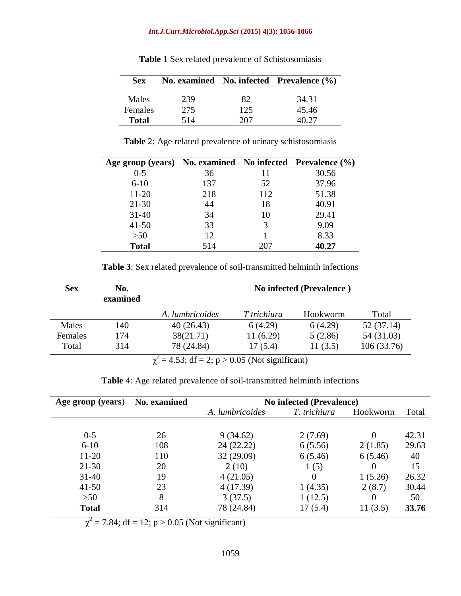#### *Int.J.Curr.Microbiol.App.Sci* **(2015) 4(3): 1056-1066**

| <b>Sex</b> |     |        | No. examined No. infected Prevalence (%) |  |
|------------|-----|--------|------------------------------------------|--|
|            |     |        |                                          |  |
| Males      | 239 | 82.    | 34.31                                    |  |
| Females    | 275 | 125    | 45.46                                    |  |
| Total      | 514 | 21 Y 7 | 10 27                                    |  |

**Table 1** Sex related prevalence of Schistosomiasis

**Table** 2: Age related prevalence of urinary schistosomiasis

| Age group (years) No. examined No infected Prevalence (%) |     |     |       |
|-----------------------------------------------------------|-----|-----|-------|
| $0 - 5$                                                   | 36  | 11  | 30.56 |
| $6 - 10$                                                  | 137 | 52  | 37.96 |
| $11 - 20$                                                 | 218 | 112 | 51.38 |
| $21 - 30$                                                 | 44  | 18  | 40.91 |
| $31 - 40$                                                 | 34  | 10  | 29.41 |
| $41 - 50$                                                 | 33  | 3   | 9.09  |
| >50                                                       | 12  |     | 8.33  |
| <b>Total</b>                                              | 514 | 207 | 40.27 |

**Table 3**: Sex related prevalence of soil-transmitted helminth infections

| <b>Sex</b>                                          | No.<br>examined | No infected (Prevalence) |             |          |            |
|-----------------------------------------------------|-----------------|--------------------------|-------------|----------|------------|
|                                                     |                 | A. lumbricoides          | T trichiura | Hookworm | Total      |
| Males                                               | 140             | 40(26.43)                | 6(4.29)     | 6(4.29)  | 52(37.14)  |
| Females                                             | 174             | 38(21.71)                | 11(6.29)    | 5(2.86)  | 54 (31.03) |
| Total                                               | 314             | 78 (24.84)               | 17(5.4)     | 11(3.5)  | 106(33.76) |
| $\chi^2$ = 4.53; df = 2; p > 0.05 (Not significant) |                 |                          |             |          |            |

**Table** 4: Age related prevalence of soil-transmitted helminth infections

| Age group (years) | No. examined | No infected (Prevalence) |              |                |       |
|-------------------|--------------|--------------------------|--------------|----------------|-------|
|                   |              | A. lumbricoides          | T. trichiura | Hookworm       | Total |
|                   |              |                          |              |                |       |
| $0 - 5$           | 26           | 9(34.62)                 | 2(7.69)      | $\overline{0}$ | 42.31 |
| $6 - 10$          | 108          | 24 (22.22)               | 6(5.56)      | 2(1.85)        | 29.63 |
| $11-20$           | 110          | 32 (29.09)               | 6(5.46)      | 6(5.46)        | 40    |
| $21-30$           | 20           | 2(10)                    | 1(5)         | 0              | 15    |
| $31 - 40$         | 19           | 4(21.05)                 | $\theta$     | 1(5.26)        | 26.32 |
| $41 - 50$         | 23           | 4(17.39)                 | 1(4.35)      | 2(8.7)         | 30.44 |
| >50               | 8            | 3(37.5)                  | 1(12.5)      | 0              | 50    |
| <b>Total</b>      | 314          | 78 (24.84)               | 17(5.4)      | 11(3.5)        | 33.76 |

 $\chi^2$  = 7.84; df = 12; p > 0.05 (Not significant)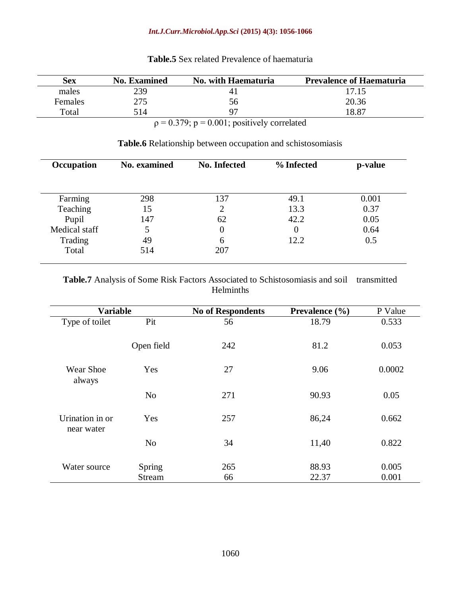#### *Int.J.Curr.Microbiol.App.Sci* **(2015) 4(3): 1056-1066**

| <b>Sex</b>                                                         | <b>No. Examined</b> | No. with Haematuria                               |            | <b>Prevalence of Haematuria</b> |  |
|--------------------------------------------------------------------|---------------------|---------------------------------------------------|------------|---------------------------------|--|
| males                                                              | 239                 | 41                                                |            | 17.15                           |  |
| Females                                                            | 275                 | 56                                                |            | 20.36                           |  |
| Total                                                              | 514                 | 97                                                |            | 18.87                           |  |
|                                                                    |                     | $p = 0.379$ ; $p = 0.001$ ; positively correlated |            |                                 |  |
| <b>Table.6</b> Relationship between occupation and schistosomiasis |                     |                                                   |            |                                 |  |
| Occupation                                                         | No. examined        | <b>No. Infected</b>                               | % Infected | p-value                         |  |
| Farming                                                            | 298                 | 137                                               | 49.1       | 0.001                           |  |
| Teaching                                                           | 15                  | 2                                                 | 13.3       | 0.37                            |  |
| Pupil                                                              | 147                 | 62                                                | 42.2       | 0.05                            |  |
| Medical staff                                                      | 5                   | 0                                                 | $\theta$   | 0.64                            |  |
| Trading                                                            | 49                  | 6                                                 | 12.2       | 0.5                             |  |
| Total                                                              | 514                 | 207                                               |            |                                 |  |

## **Table.5** Sex related Prevalence of haematuria

**Table.7** Analysis of Some Risk Factors Associated to Schistosomiasis and soil transmitted Helminths

| <b>Variable</b>               |                | <b>No of Respondents</b> | Prevalence $(\% )$ | P Value |  |
|-------------------------------|----------------|--------------------------|--------------------|---------|--|
| Type of toilet                | Pit            | 56                       | 18.79              | 0.533   |  |
|                               | Open field     | 242                      | 81.2               | 0.053   |  |
| Wear Shoe<br>always           | Yes            | 27                       | 9.06               | 0.0002  |  |
|                               | N <sub>o</sub> | 271                      | 90.93              | 0.05    |  |
| Urination in or<br>near water | Yes            | 257                      | 86,24              | 0.662   |  |
|                               | N <sub>o</sub> | 34                       | 11,40              | 0.822   |  |
| Water source                  | Spring         | 265                      | 88.93              | 0.005   |  |
|                               | <b>Stream</b>  | 66                       | 22.37              | 0.001   |  |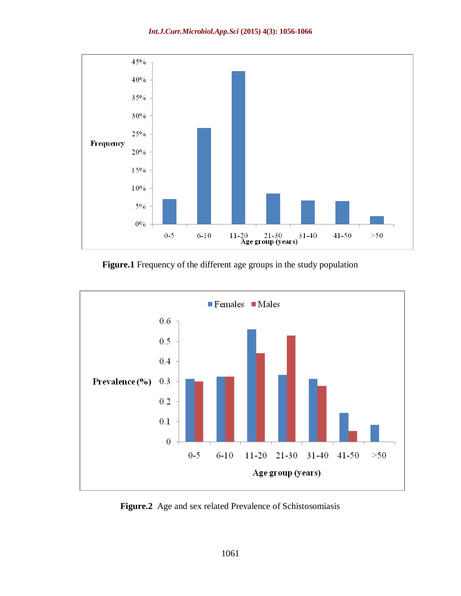

**Figure.1** Frequency of the different age groups in the study population



**Figure.2** Age and sex related Prevalence of Schistosomiasis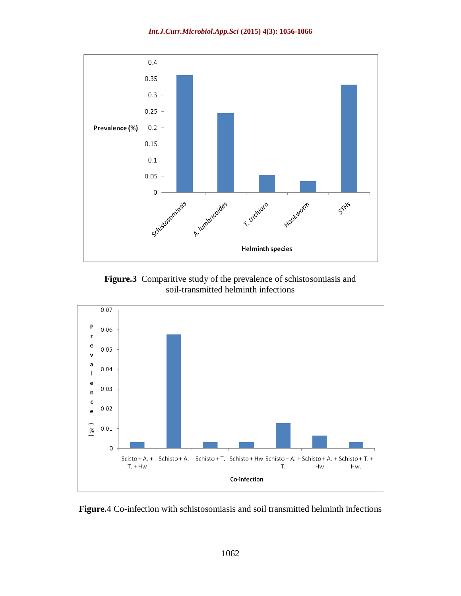

**Figure.3** Comparitive study of the prevalence of schistosomiasis and soil-transmitted helminth infections



**Figure.**4 Co-infection with schistosomiasis and soil transmitted helminth infections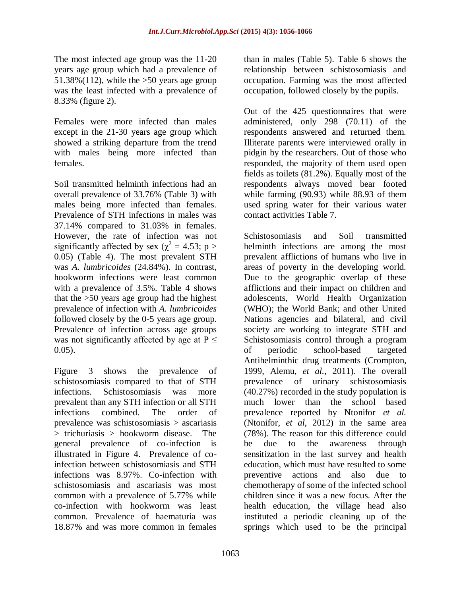The most infected age group was the 11-20 years age group which had a prevalence of 51.38%(112), while the  $>50$  years age group was the least infected with a prevalence of 8.33% (figure 2)*.*

Females were more infected than males except in the 21-30 years age group which showed a striking departure from the trend with males being more infected than females.

Soil transmitted helminth infections had an overall prevalence of 33.76% (Table 3) with males being more infected than females. Prevalence of STH infections in males was 37.14% compared to 31.03% in females. However, the rate of infection was not significantly affected by sex ( $\chi^2 = 4.53$ ; p > 0.05) (Table 4). The most prevalent STH was *A. lumbricoides* (24.84%). In contrast, hookworm infections were least common with a prevalence of 3.5%. Table 4 shows that the >50 years age group had the highest prevalence of infection with *A. lumbricoides* followed closely by the 0-5 years age group. Prevalence of infection across age groups was not significantly affected by age at  $P \leq$ 0.05).

Figure 3 shows the prevalence of schistosomiasis compared to that of STH infections. Schistosomiasis was more prevalent than any STH infection or all STH infections combined. The order of prevalence was schistosomiasis > ascariasis > trichuriasis > hookworm disease. The general prevalence of co-infection is illustrated in Figure 4. Prevalence of coinfection between schistosomiasis and STH infections was 8.97%. Co-infection with schistosomiasis and ascariasis was most common with a prevalence of 5.77% while co-infection with hookworm was least common. Prevalence of haematuria was 18.87% and was more common in females

than in males (Table 5). Table 6 shows the relationship between schistosomiasis and occupation. Farming was the most affected occupation, followed closely by the pupils.

Out of the 425 questionnaires that were administered, only 298 (70.11) of the respondents answered and returned them. Illiterate parents were interviewed orally in pidgin by the researchers. Out of those who responded, the majority of them used open fields as toilets (81.2%). Equally most of the respondents always moved bear footed while farming (90.93) while 88.93 of them used spring water for their various water contact activities Table 7.

Schistosomiasis and Soil transmitted helminth infections are among the most prevalent afflictions of humans who live in areas of poverty in the developing world. Due to the geographic overlap of these afflictions and their impact on children and adolescents, World Health Organization (WHO); the World Bank; and other United Nations agencies and bilateral, and civil society are working to integrate STH and Schistosomiasis control through a program of periodic school-based targeted Antihelminthic drug treatments (Crompton, 1999, Alemu, *et al.,* 2011). The overall prevalence of urinary schistosomiasis (40.27%) recorded in the study population is much lower than the school based prevalence reported by Ntonifor *et al.* (Ntonifor, *et al*, 2012) in the same area (78%). The reason for this difference could be due to the awareness through sensitization in the last survey and health education, which must have resulted to some preventive actions and also due to chemotherapy of some of the infected school children since it was a new focus. After the health education, the village head also instituted a periodic cleaning up of the springs which used to be the principal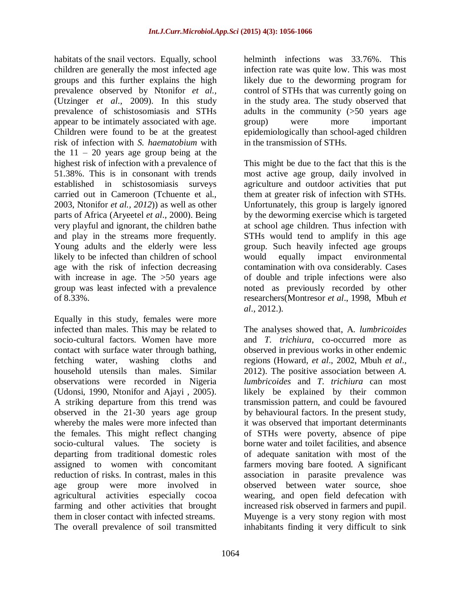habitats of the snail vectors. Equally, school children are generally the most infected age groups and this further explains the high prevalence observed by Ntonifor *et al.,* (Utzinger *et al*., 2009). In this study prevalence of schistosomiasis and STHs appear to be intimately associated with age. Children were found to be at the greatest risk of infection with *S. haematobium* with the  $11 - 20$  years age group being at the highest risk of infection with a prevalence of 51.38%. This is in consonant with trends established in schistosomiasis surveys carried out in Cameroon (Tchuente et al., 2003, Ntonifor *et al., 2012*)) as well as other parts of Africa (Aryeetel *et al*., 2000). Being very playful and ignorant, the children bathe and play in the streams more frequently. Young adults and the elderly were less likely to be infected than children of school age with the risk of infection decreasing with increase in age. The  $>50$  years age group was least infected with a prevalence of 8.33%.

Equally in this study, females were more infected than males. This may be related to socio-cultural factors. Women have more contact with surface water through bathing, fetching water, washing cloths and household utensils than males. Similar observations were recorded in Nigeria (Udonsi, 1990, Ntonifor and Ajayi , 2005). A striking departure from this trend was observed in the 21-30 years age group whereby the males were more infected than the females. This might reflect changing socio-cultural values. The society is departing from traditional domestic roles assigned to women with concomitant reduction of risks. In contrast, males in this age group were more involved in agricultural activities especially cocoa farming and other activities that brought them in closer contact with infected streams. The overall prevalence of soil transmitted

helminth infections was 33.76%. This infection rate was quite low. This was most likely due to the deworming program for control of STHs that was currently going on in the study area. The study observed that adults in the community (>50 years age group) were more important epidemiologically than school-aged children in the transmission of STHs.

This might be due to the fact that this is the most active age group, daily involved in agriculture and outdoor activities that put them at greater risk of infection with STHs. Unfortunately, this group is largely ignored by the deworming exercise which is targeted at school age children. Thus infection with STHs would tend to amplify in this age group. Such heavily infected age groups would equally impact environmental contamination with ova considerably. Cases of double and triple infections were also noted as previously recorded by other researchers(Montresor *et al*., 1998, Mbuh *et al*., 2012.).

The analyses showed that, A*. lumbricoides* and *T. trichiura*, co-occurred more as observed in previous works in other endemic regions (Howard, *et al*., 2002, Mbuh *et al*., 2012). The positive association between *A. lumbricoides* and *T. trichiura* can most likely be explained by their common transmission pattern, and could be favoured by behavioural factors. In the present study, it was observed that important determinants of STHs were poverty, absence of pipe borne water and toilet facilities, and absence of adequate sanitation with most of the farmers moving bare footed. A significant association in parasite prevalence was observed between water source, shoe wearing, and open field defecation with increased risk observed in farmers and pupil. Muyenge is a very stony region with most inhabitants finding it very difficult to sink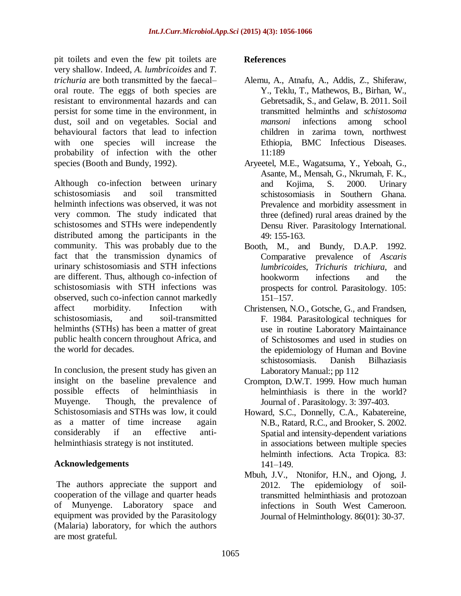pit toilets and even the few pit toilets are very shallow. Indeed, *A. lumbricoides* and *T. trichuria* are both transmitted by the faecal– oral route. The eggs of both species are resistant to environmental hazards and can persist for some time in the environment, in dust, soil and on vegetables. Social and behavioural factors that lead to infection with one species will increase the probability of infection with the other species (Booth and Bundy, 1992).

Although co-infection between urinary schistosomiasis and soil transmitted helminth infections was observed, it was not very common. The study indicated that schistosomes and STHs were independently distributed among the participants in the community. This was probably due to the fact that the transmission dynamics of urinary schistosomiasis and STH infections are different. Thus, although co-infection of schistosomiasis with STH infections was observed, such co-infection cannot markedly affect morbidity. Infection with schistosomiasis, and soil-transmitted helminths (STHs) has been a matter of great public health concern throughout Africa, and the world for decades.

In conclusion, the present study has given an insight on the baseline prevalence and possible effects of helminthiasis in Muyenge. Though, the prevalence of Schistosomiasis and STHs was low, it could as a matter of time increase again considerably if an effective antihelminthiasis strategy is not instituted.

### **Acknowledgements**

The authors appreciate the support and cooperation of the village and quarter heads of Munyenge. Laboratory space and equipment was provided by the Parasitology (Malaria) laboratory, for which the authors are most grateful.

### **References**

- Alemu, A., Atnafu, A., Addis, Z., Shiferaw, Y., Teklu, T., Mathewos, B., Birhan, W., Gebretsadik, S., and Gelaw, B. 2011. Soil transmitted helminths and *schistosoma mansoni* infections among school children in zarima town, northwest Ethiopia, BMC Infectious Diseases. 11:189
- Aryeetel, M.E., Wagatsuma, Y., Yeboah, G., Asante, M., Mensah, G., Nkrumah, F. K., and Kojima, S. 2000. Urinary schistosomiasis in Southern Ghana. Prevalence and morbidity assessment in three (defined) rural areas drained by the Densu River. Parasitology International. 49: 155-163.
- Booth, M., and Bundy, D.A.P. 1992. Comparative prevalence of *Ascaris lumbricoides*, *Trichuris trichiura*, and hookworm infections and the prospects for control. Parasitology. 105: 151–157.
- Christensen, N.O., Gotsche, G., and Frandsen, F. 1984. Parasitological techniques for use in routine Laboratory Maintainance of Schistosomes and used in studies on the epidemiology of Human and Bovine schistosomiasis. Danish Bilhaziasis Laboratory Manual:; pp 112
- Crompton, D.W.T. 1999. How much human helminthiasis is there in the world? Journal of . Parasitology. 3: 397-403.
- Howard, S.C., Donnelly, C.A., Kabatereine, N.B., Ratard, R.C., and Brooker, S. 2002. Spatial and intensity-dependent variations in associations between multiple species helminth infections. Acta Tropica. 83: 141–149.
- Mbuh, J.V., Ntonifor, H.N., and Ojong, J. 2012. The epidemiology of soiltransmitted helminthiasis and protozoan infections in South West Cameroon. Journal of Helminthology. 86(01): 30-37.